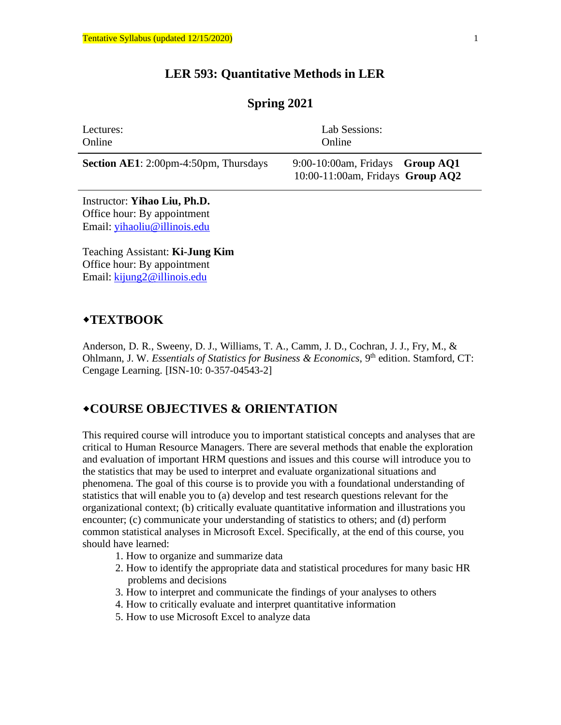# **LER 593: Quantitative Methods in LER**

# **Spring 2021**

| Lectures:                                    | Lab Sessions:                                                            |  |  |
|----------------------------------------------|--------------------------------------------------------------------------|--|--|
| Online                                       | Online                                                                   |  |  |
| <b>Section AE1:</b> 2:00pm-4:50pm, Thursdays | $9:00-10:00$ am, Fridays Group AQ1<br>10:00-11:00am, Fridays Group $AQ2$ |  |  |

Instructor: **Yihao Liu, Ph.D.** Office hour: By appointment Email: [yihaoliu@illinois.edu](mailto:yihaoliu@illinois.edu)

Teaching Assistant: **Ki-Jung Kim** Office hour: By appointment Email: kijung2@illinois.edu

### **TEXTBOOK**

Anderson, D. R., Sweeny, D. J., Williams, T. A., Camm, J. D., Cochran, J. J., Fry, M., & Ohlmann, J. W. *Essentials of Statistics for Business & Economics*, 9<sup>th</sup> edition. Stamford, CT: Cengage Learning. [ISN-10: 0-357-04543-2]

# **COURSE OBJECTIVES & ORIENTATION**

This required course will introduce you to important statistical concepts and analyses that are critical to Human Resource Managers. There are several methods that enable the exploration and evaluation of important HRM questions and issues and this course will introduce you to the statistics that may be used to interpret and evaluate organizational situations and phenomena. The goal of this course is to provide you with a foundational understanding of statistics that will enable you to (a) develop and test research questions relevant for the organizational context; (b) critically evaluate quantitative information and illustrations you encounter; (c) communicate your understanding of statistics to others; and (d) perform common statistical analyses in Microsoft Excel. Specifically, at the end of this course, you should have learned:

- 1. How to organize and summarize data
- 2. How to identify the appropriate data and statistical procedures for many basic HR problems and decisions
- 3. How to interpret and communicate the findings of your analyses to others
- 4. How to critically evaluate and interpret quantitative information
- 5. How to use Microsoft Excel to analyze data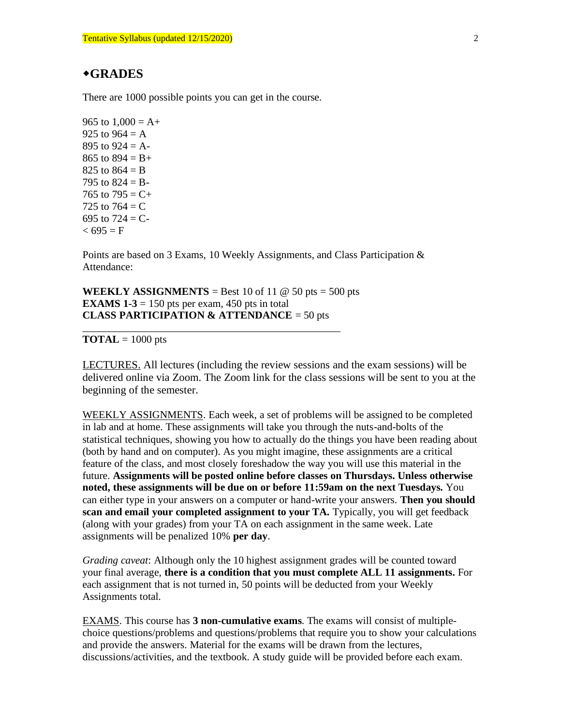#### **GRADES**

There are 1000 possible points you can get in the course.

965 to  $1,000 = A +$ 925 to  $964 = A$ 895 to  $924 = A -$ 865 to  $894 = B +$ 825 to  $864 = B$ 795 to  $824 = B -$ 765 to  $795 = C +$ 725 to  $764 = C$ 695 to  $724 = C$  $< 695 = F$ 

Points are based on 3 Exams, 10 Weekly Assignments, and Class Participation & Attendance:

**WEEKLY ASSIGNMENTS** = Best 10 of 11  $\omega$  50 pts = 500 pts **EXAMS 1-3** = 150 pts per exam, 450 pts in total **CLASS PARTICIPATION & ATTENDANCE** = 50 pts

\_\_\_\_\_\_\_\_\_\_\_\_\_\_\_\_\_\_\_\_\_\_\_\_\_\_\_\_\_\_\_\_\_\_\_\_\_\_\_\_\_\_\_\_\_\_\_\_\_

#### **TOTAL** =  $1000$  pts

LECTURES. All lectures (including the review sessions and the exam sessions) will be delivered online via Zoom. The Zoom link for the class sessions will be sent to you at the beginning of the semester.

WEEKLY ASSIGNMENTS. Each week, a set of problems will be assigned to be completed in lab and at home. These assignments will take you through the nuts-and-bolts of the statistical techniques, showing you how to actually do the things you have been reading about (both by hand and on computer). As you might imagine, these assignments are a critical feature of the class, and most closely foreshadow the way you will use this material in the future. **Assignments will be posted online before classes on Thursdays. Unless otherwise noted, these assignments will be due on or before 11:59am on the next Tuesdays.** You can either type in your answers on a computer or hand-write your answers. **Then you should scan and email your completed assignment to your TA.** Typically, you will get feedback (along with your grades) from your TA on each assignment in the same week. Late assignments will be penalized 10% **per day**.

*Grading caveat*: Although only the 10 highest assignment grades will be counted toward your final average, **there is a condition that you must complete ALL 11 assignments.** For each assignment that is not turned in, 50 points will be deducted from your Weekly Assignments total.

EXAMS. This course has **3 non-cumulative exams**. The exams will consist of multiplechoice questions/problems and questions/problems that require you to show your calculations and provide the answers. Material for the exams will be drawn from the lectures, discussions/activities, and the textbook. A study guide will be provided before each exam.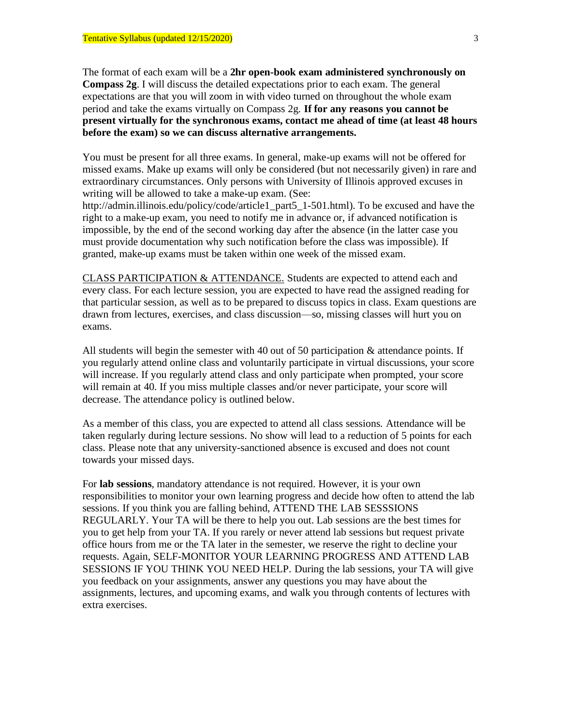The format of each exam will be a **2hr open-book exam administered synchronously on Compass 2g**. I will discuss the detailed expectations prior to each exam. The general expectations are that you will zoom in with video turned on throughout the whole exam period and take the exams virtually on Compass 2g. **If for any reasons you cannot be present virtually for the synchronous exams, contact me ahead of time (at least 48 hours before the exam) so we can discuss alternative arrangements.**

You must be present for all three exams. In general, make-up exams will not be offered for missed exams. Make up exams will only be considered (but not necessarily given) in rare and extraordinary circumstances. Only persons with University of Illinois approved excuses in writing will be allowed to take a make-up exam. (See:

http://admin.illinois.edu/policy/code/article1\_part5\_1-501.html). To be excused and have the right to a make-up exam, you need to notify me in advance or, if advanced notification is impossible, by the end of the second working day after the absence (in the latter case you must provide documentation why such notification before the class was impossible). If granted, make-up exams must be taken within one week of the missed exam.

CLASS PARTICIPATION & ATTENDANCE. Students are expected to attend each and every class. For each lecture session, you are expected to have read the assigned reading for that particular session, as well as to be prepared to discuss topics in class. Exam questions are drawn from lectures, exercises, and class discussion—so, missing classes will hurt you on exams.

All students will begin the semester with 40 out of 50 participation & attendance points. If you regularly attend online class and voluntarily participate in virtual discussions, your score will increase. If you regularly attend class and only participate when prompted, your score will remain at 40. If you miss multiple classes and/or never participate, your score will decrease. The attendance policy is outlined below.

As a member of this class, you are expected to attend all class sessions. Attendance will be taken regularly during lecture sessions. No show will lead to a reduction of 5 points for each class. Please note that any university-sanctioned absence is excused and does not count towards your missed days.

For **lab sessions**, mandatory attendance is not required. However, it is your own responsibilities to monitor your own learning progress and decide how often to attend the lab sessions. If you think you are falling behind, ATTEND THE LAB SESSSIONS REGULARLY. Your TA will be there to help you out. Lab sessions are the best times for you to get help from your TA. If you rarely or never attend lab sessions but request private office hours from me or the TA later in the semester, we reserve the right to decline your requests. Again, SELF-MONITOR YOUR LEARNING PROGRESS AND ATTEND LAB SESSIONS IF YOU THINK YOU NEED HELP. During the lab sessions, your TA will give you feedback on your assignments, answer any questions you may have about the assignments, lectures, and upcoming exams, and walk you through contents of lectures with extra exercises.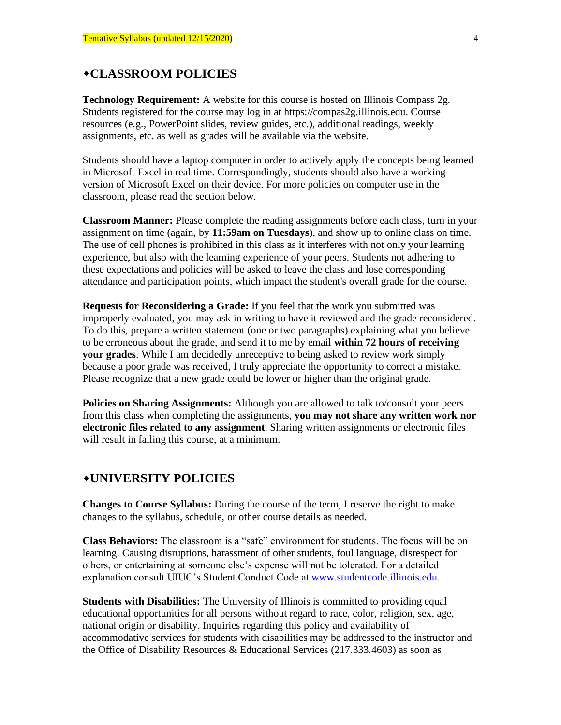## **CLASSROOM POLICIES**

**Technology Requirement:** A website for this course is hosted on Illinois Compass 2g. Students registered for the course may log in at https://compas2g.illinois.edu. Course resources (e.g., PowerPoint slides, review guides, etc.), additional readings, weekly assignments, etc. as well as grades will be available via the website.

Students should have a laptop computer in order to actively apply the concepts being learned in Microsoft Excel in real time. Correspondingly, students should also have a working version of Microsoft Excel on their device. For more policies on computer use in the classroom, please read the section below.

**Classroom Manner:** Please complete the reading assignments before each class, turn in your assignment on time (again, by **11:59am on Tuesdays**), and show up to online class on time. The use of cell phones is prohibited in this class as it interferes with not only your learning experience, but also with the learning experience of your peers. Students not adhering to these expectations and policies will be asked to leave the class and lose corresponding attendance and participation points, which impact the student's overall grade for the course.

**Requests for Reconsidering a Grade:** If you feel that the work you submitted was improperly evaluated, you may ask in writing to have it reviewed and the grade reconsidered. To do this, prepare a written statement (one or two paragraphs) explaining what you believe to be erroneous about the grade, and send it to me by email **within 72 hours of receiving your grades**. While I am decidedly unreceptive to being asked to review work simply because a poor grade was received, I truly appreciate the opportunity to correct a mistake. Please recognize that a new grade could be lower or higher than the original grade.

**Policies on Sharing Assignments:** Although you are allowed to talk to/consult your peers from this class when completing the assignments, **you may not share any written work nor electronic files related to any assignment**. Sharing written assignments or electronic files will result in failing this course, at a minimum.

## **UNIVERSITY POLICIES**

**Changes to Course Syllabus:** During the course of the term, I reserve the right to make changes to the syllabus, schedule, or other course details as needed.

**Class Behaviors:** The classroom is a "safe" environment for students. The focus will be on learning. Causing disruptions, harassment of other students, foul language, disrespect for others, or entertaining at someone else's expense will not be tolerated. For a detailed explanation consult UIUC's Student Conduct Code at [www.studentcode.illinois.edu.](http://www.studentcode.illinois.edu/)

**Students with Disabilities:** The University of Illinois is committed to providing equal educational opportunities for all persons without regard to race, color, religion, sex, age, national origin or disability. Inquiries regarding this policy and availability of accommodative services for students with disabilities may be addressed to the instructor and the Office of Disability Resources & Educational Services (217.333.4603) as soon as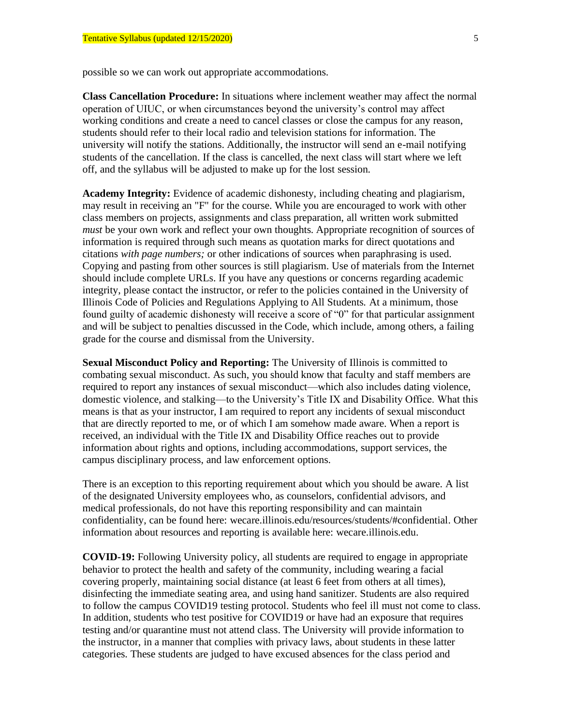possible so we can work out appropriate accommodations.

**Class Cancellation Procedure:** In situations where inclement weather may affect the normal operation of UIUC, or when circumstances beyond the university's control may affect working conditions and create a need to cancel classes or close the campus for any reason, students should refer to their local radio and television stations for information. The university will notify the stations. Additionally, the instructor will send an e-mail notifying students of the cancellation. If the class is cancelled, the next class will start where we left off, and the syllabus will be adjusted to make up for the lost session.

**Academy Integrity:** Evidence of academic dishonesty, including cheating and plagiarism, may result in receiving an "F" for the course. While you are encouraged to work with other class members on projects, assignments and class preparation, all written work submitted *must* be your own work and reflect your own thoughts. Appropriate recognition of sources of information is required through such means as quotation marks for direct quotations and citations *with page numbers;* or other indications of sources when paraphrasing is used. Copying and pasting from other sources is still plagiarism. Use of materials from the Internet should include complete URLs. If you have any questions or concerns regarding academic integrity, please contact the instructor, or refer to the policies contained in the University of Illinois Code of Policies and Regulations Applying to All Students. At a minimum, those found guilty of academic dishonesty will receive a score of "0" for that particular assignment and will be subject to penalties discussed in the Code, which include, among others, a failing grade for the course and dismissal from the University.

**Sexual Misconduct Policy and Reporting:** The University of Illinois is committed to combating sexual misconduct. As such, you should know that faculty and staff members are required to report any instances of sexual misconduct—which also includes dating violence, domestic violence, and stalking—to the University's Title IX and Disability Office. What this means is that as your instructor, I am required to report any incidents of sexual misconduct that are directly reported to me, or of which I am somehow made aware. When a report is received, an individual with the Title IX and Disability Office reaches out to provide information about rights and options, including accommodations, support services, the campus disciplinary process, and law enforcement options.

There is an exception to this reporting requirement about which you should be aware. A list of the designated University employees who, as counselors, confidential advisors, and medical professionals, do not have this reporting responsibility and can maintain confidentiality, can be found here: [wecare.illinois.edu/resources/students/#confidential.](http://wecare.illinois.edu/resources/students/#confidential) Other information about resources and reporting is available here: [wecare.illinois.edu.](http://wecare.illinois.edu/)

**COVID-19:** Following University policy, all students are required to engage in appropriate behavior to protect the health and safety of the community, including wearing a facial covering properly, maintaining social distance (at least 6 feet from others at all times), disinfecting the immediate seating area, and using hand sanitizer. Students are also required to follow the campus COVID19 testing protocol. Students who feel ill must not come to class. In addition, students who test positive for COVID19 or have had an exposure that requires testing and/or quarantine must not attend class. The University will provide information to the instructor, in a manner that complies with privacy laws, about students in these latter categories. These students are judged to have excused absences for the class period and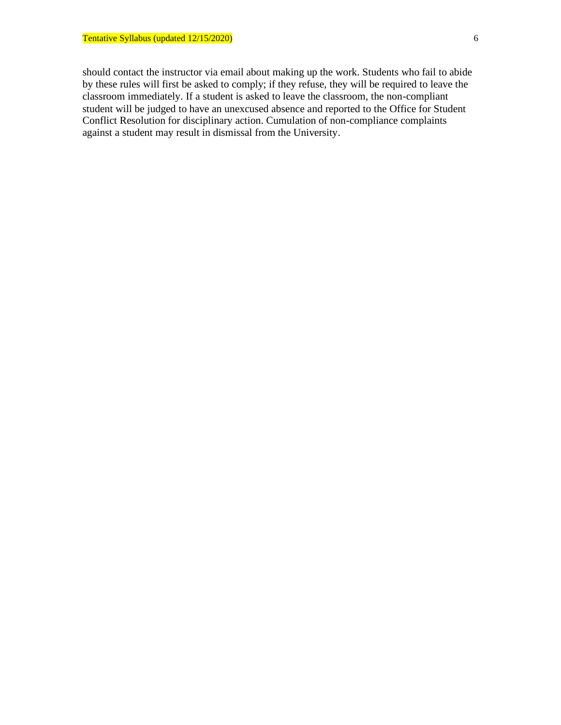should contact the instructor via email about making up the work. Students who fail to abide by these rules will first be asked to comply; if they refuse, they will be required to leave the classroom immediately. If a student is asked to leave the classroom, the non-compliant student will be judged to have an unexcused absence and reported to the Office for Student Conflict Resolution for disciplinary action. Cumulation of non-compliance complaints against a student may result in dismissal from the University.